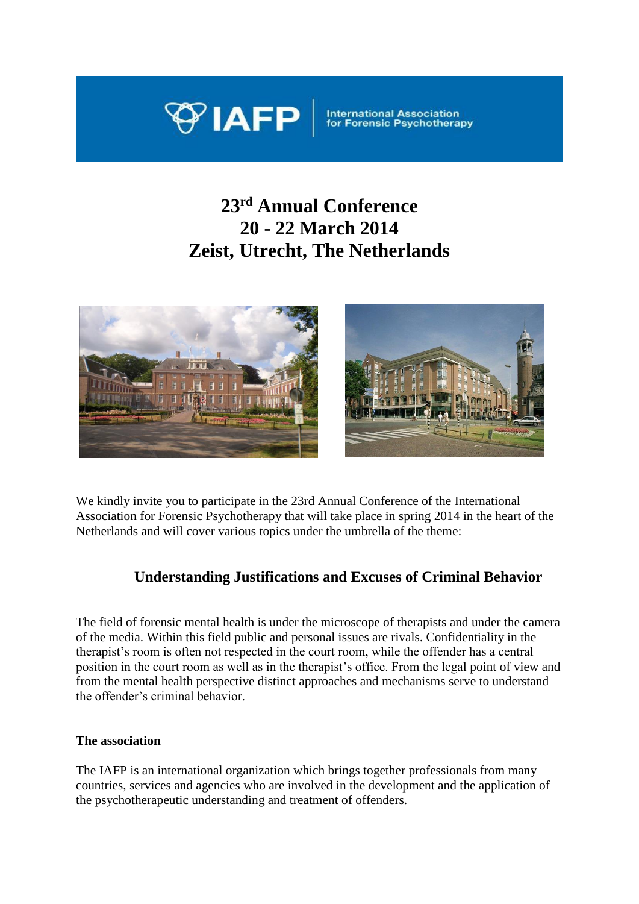

International Association<br>for Forensic Psychothera

# **23 rd Annual Conference 20 - 22 March 2014 Zeist, Utrecht, The Netherlands**



We kindly invite you to participate in the 23rd Annual Conference of the International Association for Forensic Psychotherapy that will take place in spring 2014 in the heart of the Netherlands and will cover various topics under the umbrella of the theme:

# **Understanding Justifications and Excuses of Criminal Behavior**

The field of forensic mental health is under the microscope of therapists and under the camera of the media. Within this field public and personal issues are rivals. Confidentiality in the therapist's room is often not respected in the court room, while the offender has a central position in the court room as well as in the therapist's office. From the legal point of view and from the mental health perspective distinct approaches and mechanisms serve to understand the offender's criminal behavior.

# **The association**

The IAFP is an international organization which brings together professionals from many countries, services and agencies who are involved in the development and the application of the psychotherapeutic understanding and treatment of offenders.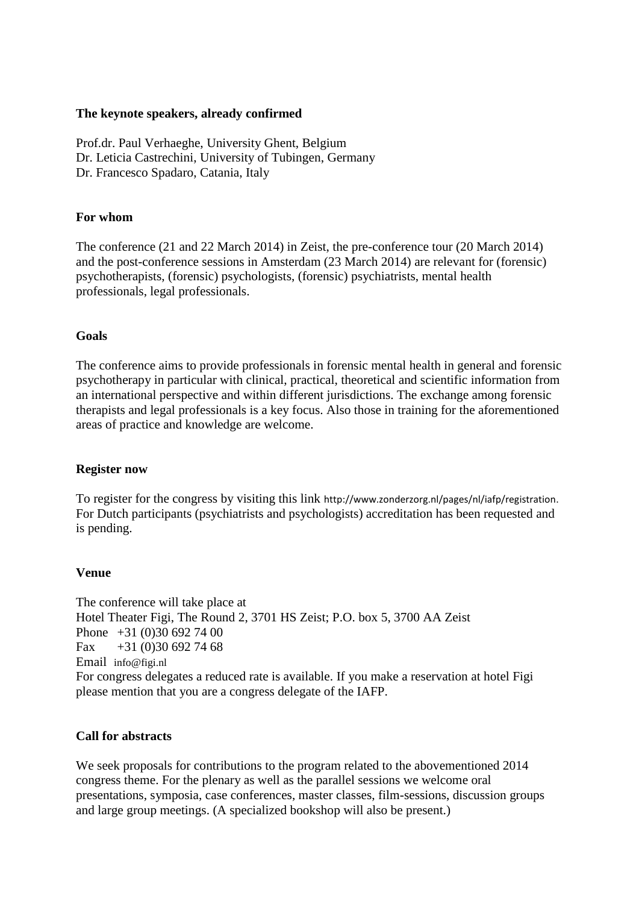# **The keynote speakers, already confirmed**

Prof.dr. Paul Verhaeghe, University Ghent, Belgium Dr. Leticia Castrechini, University of Tubingen, Germany Dr. Francesco Spadaro, Catania, Italy

# **For whom**

The conference (21 and 22 March 2014) in Zeist, the pre-conference tour (20 March 2014) and the post-conference sessions in Amsterdam (23 March 2014) are relevant for (forensic) psychotherapists, (forensic) psychologists, (forensic) psychiatrists, mental health professionals, legal professionals.

#### **Goals**

The conference aims to provide professionals in forensic mental health in general and forensic psychotherapy in particular with clinical, practical, theoretical and scientific information from an international perspective and within different jurisdictions. The exchange among forensic therapists and legal professionals is a key focus. Also those in training for the aforementioned areas of practice and knowledge are welcome.

#### **Register now**

To register for the congress by visiting this link [http://www.zonderzorg.nl/pages/nl/iafp/registration.](http://www.zonderzorg.nl/pages/nl/iafp/registration) For Dutch participants (psychiatrists and psychologists) accreditation has been requested and is pending.

#### **Venue**

The conference will take place at Hotel Theater Figi, The Round 2, 3701 HS Zeist; P.O. box 5, 3700 AA Zeist Phone +31 (0)30 692 74 00 Fax  $+31(0)306927468$ Email [info@figi.nl](mailto:info@figi.nl) For congress delegates a reduced rate is available. If you make a reservation at hotel Figi please mention that you are a congress delegate of the IAFP.

#### **Call for abstracts**

We seek proposals for contributions to the program related to the abovementioned 2014 congress theme. For the plenary as well as the parallel sessions we welcome oral presentations, symposia, case conferences, master classes, film-sessions, discussion groups and large group meetings. (A specialized bookshop will also be present.)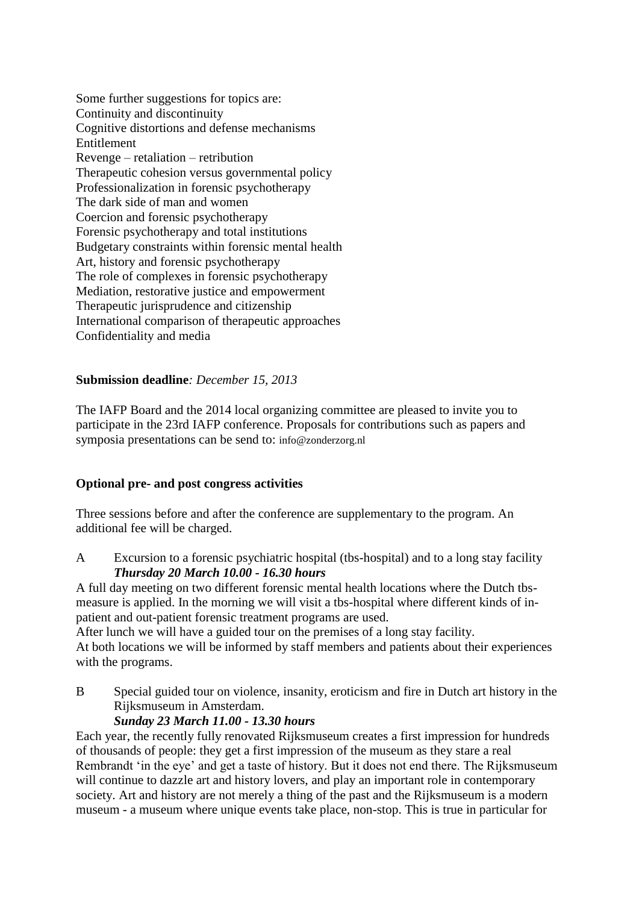Some further suggestions for topics are: Continuity and discontinuity Cognitive distortions and defense mechanisms Entitlement Revenge – retaliation – retribution Therapeutic cohesion versus governmental policy Professionalization in forensic psychotherapy The dark side of man and women Coercion and forensic psychotherapy Forensic psychotherapy and total institutions Budgetary constraints within forensic mental health Art, history and forensic psychotherapy The role of complexes in forensic psychotherapy Mediation, restorative justice and empowerment Therapeutic jurisprudence and citizenship International comparison of therapeutic approaches Confidentiality and media

# **Submission deadline***: December 15, 2013*

The IAFP Board and the 2014 local organizing committee are pleased to invite you to participate in the 23rd IAFP conference. Proposals for contributions such as papers and symposia presentations can be send to: [info@zonderzorg.nl](mailto:info@zonderzorg.nl)

# **Optional pre- and post congress activities**

Three sessions before and after the conference are supplementary to the program. An additional fee will be charged.

A Excursion to a forensic psychiatric hospital (tbs-hospital) and to a long stay facility *Thursday 20 March 10.00 - 16.30 hours*

A full day meeting on two different forensic mental health locations where the Dutch tbsmeasure is applied. In the morning we will visit a tbs-hospital where different kinds of inpatient and out-patient forensic treatment programs are used.

After lunch we will have a guided tour on the premises of a long stay facility.

At both locations we will be informed by staff members and patients about their experiences with the programs.

B Special guided tour on violence, insanity, eroticism and fire in Dutch art history in the Rijksmuseum in Amsterdam.

# *Sunday 23 March 11.00 - 13.30 hours*

Each year, the recently fully renovated Rijksmuseum creates a first impression for hundreds of thousands of people: they get a first impression of the museum as they stare a real Rembrandt 'in the eye' and get a taste of history. But it does not end there. The Rijksmuseum will continue to dazzle art and history lovers, and play an important role in contemporary society. Art and history are not merely a thing of the past and the Rijksmuseum is a modern museum - a museum where unique events take place, non-stop. This is true in particular for